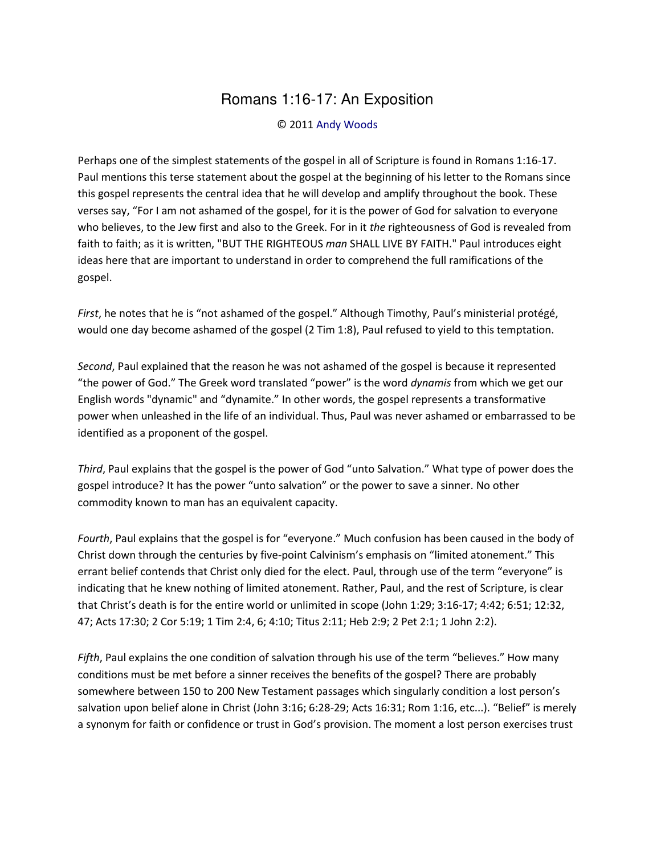## Romans 1:16-17: An Exposition

## © 2011 [Andy Woods](http://www.spiritandtruth.org/id/aw.htm)

Perhaps one of the simplest statements of the gospel in all of Scripture is found in Romans 1:16-17. Paul mentions this terse statement about the gospel at the beginning of his letter to the Romans since this gospel represents the central idea that he will develop and amplify throughout the book. These verses say, "For I am not ashamed of the gospel, for it is the power of God for salvation to everyone who believes, to the Jew first and also to the Greek. For in it *the* righteousness of God is revealed from faith to faith; as it is written, "BUT THE RIGHTEOUS *man* SHALL LIVE BY FAITH." Paul introduces eight ideas here that are important to understand in order to comprehend the full ramifications of the gospel.

*First*, he notes that he is "not ashamed of the gospel." Although Timothy, Paul's ministerial protégé, would one day become ashamed of the gospel (2 Tim 1:8), Paul refused to yield to this temptation.

*Second*, Paul explained that the reason he was not ashamed of the gospel is because it represented "the power of God." The Greek word translated "power" is the word *dynamis* from which we get our English words "dynamic" and "dynamite.<sup>"</sup> In other words, the gospel represents a transformative power when unleashed in the life of an individual. Thus, Paul was never ashamed or embarrassed to be identified as a proponent of the gospel.

*Third*, Paul explains that the gospel is the power of God "unto Salvation." What type of power does the gospel introduce? It has the power "unto salvation" or the power to save a sinner. No other commodity known to man has an equivalent capacity.

*Fourth*, Paul explains that the gospel is for "everyone." Much confusion has been caused in the body of Christ down through the centuries by five-point Calvinism's emphasis on "limited atonement." This errant belief contends that Christ only died for the elect. Paul, through use of the term "everyone" is indicating that he knew nothing of limited atonement. Rather, Paul, and the rest of Scripture, is clear that Christ's death is for the entire world or unlimited in scope (John 1:29; 3:16-17; 4:42; 6:51; 12:32, 47; Acts 17:30; 2 Cor 5:19; 1 Tim 2:4, 6; 4:10; Titus 2:11; Heb 2:9; 2 Pet 2:1; 1 John 2:2).

*Fifth*, Paul explains the one condition of salvation through his use of the term "believes." How many conditions must be met before a sinner receives the benefits of the gospel? There are probably somewhere between 150 to 200 New Testament passages which singularly condition a lost person's salvation upon belief alone in Christ (John 3:16; 6:28-29; Acts 16:31; Rom 1:16, etc...). "Belief" is merely a synonym for faith or confidence or trust in God's provision. The moment a lost person exercises trust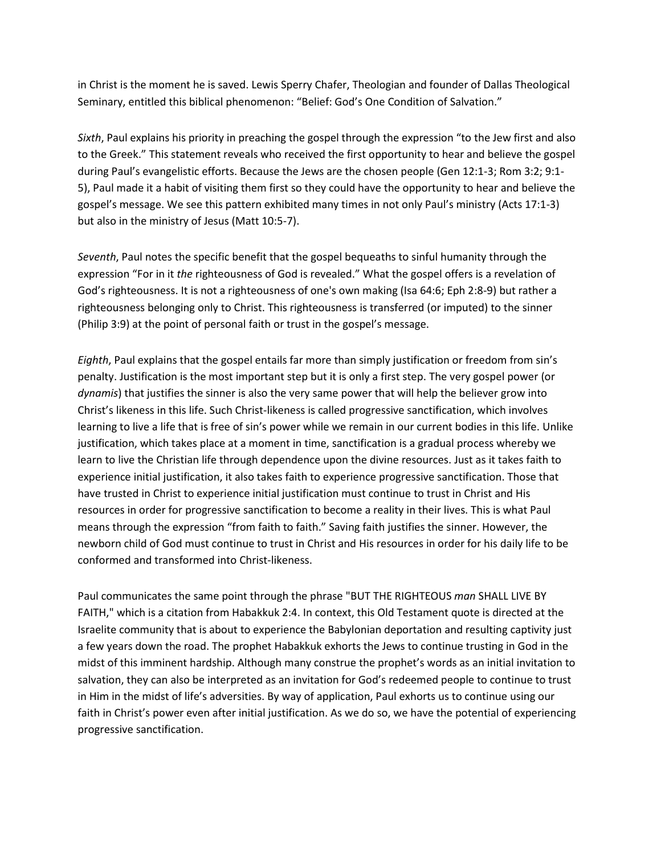in Christ is the moment he is saved. Lewis Sperry Chafer, Theologian and founder of Dallas Theological Seminary, entitled this biblical phenomenon: "Belief: God's One Condition of Salvation."

Sixth, Paul explains his priority in preaching the gospel through the expression "to the Jew first and also to the Greek." This statement reveals who received the first opportunity to hear and believe the gospel during Paul's evangelistic efforts. Because the Jews are the chosen people (Gen 12:1-3; Rom 3:2; 9:1-5), Paul made it a habit of visiting them first so they could have the opportunity to hear and believe the gospel's message. We see this pattern exhibited many times in not only Paul's ministry (Acts 17:1-3) but also in the ministry of Jesus (Matt 10:5-7).

Seventh, Paul notes the specific benefit that the gospel bequeaths to sinful humanity through the expression "For in it the righteousness of God is revealed." What the gospel offers is a revelation of God's righteousness. It is not a righteousness of one's own making (Isa 64:6; Eph 2:8-9) but rather a righteousness belonging only to Christ. This righteousness is transferred (or imputed) to the sinner (Philip 3:9) at the point of personal faith or trust in the gospel's message.

Eighth, Paul explains that the gospel entails far more than simply justification or freedom from sin's penalty. Justification is the most important step but it is only a first step. The very gospel power (or dynamis) that justifies the sinner is also the very same power that will help the believer grow into Christ's likeness in this life. Such Christ-likeness is called progressive sanctification, which involves learning to live a life that is free of sin's power while we remain in our current bodies in this life. Unlike justification, which takes place at a moment in time, sanctification is a gradual process whereby we learn to live the Christian life through dependence upon the divine resources. Just as it takes faith to experience initial justification, it also takes faith to experience progressive sanctification. Those that have trusted in Christ to experience initial justification must continue to trust in Christ and His resources in order for progressive sanctification to become a reality in their lives. This is what Paul means through the expression "from faith to faith." Saving faith justifies the sinner. However, the newborn child of God must continue to trust in Christ and His resources in order for his daily life to be conformed and transformed into Christ-likeness.

Paul communicates the same point through the phrase "BUT THE RIGHTEOUS man SHALL LIVE BY FAITH," which is a citation from Habakkuk 2:4. In context, this Old Testament quote is directed at the Israelite community that is about to experience the Babylonian deportation and resulting captivity just a few years down the road. The prophet Habakkuk exhorts the Jews to continue trusting in God in the midst of this imminent hardship. Although many construe the prophet's words as an initial invitation to salvation, they can also be interpreted as an invitation for God's redeemed people to continue to trust in Him in the midst of life's adversities. By way of application, Paul exhorts us to continue using our faith in Christ's power even after initial justification. As we do so, we have the potential of experiencing progressive sanctification.